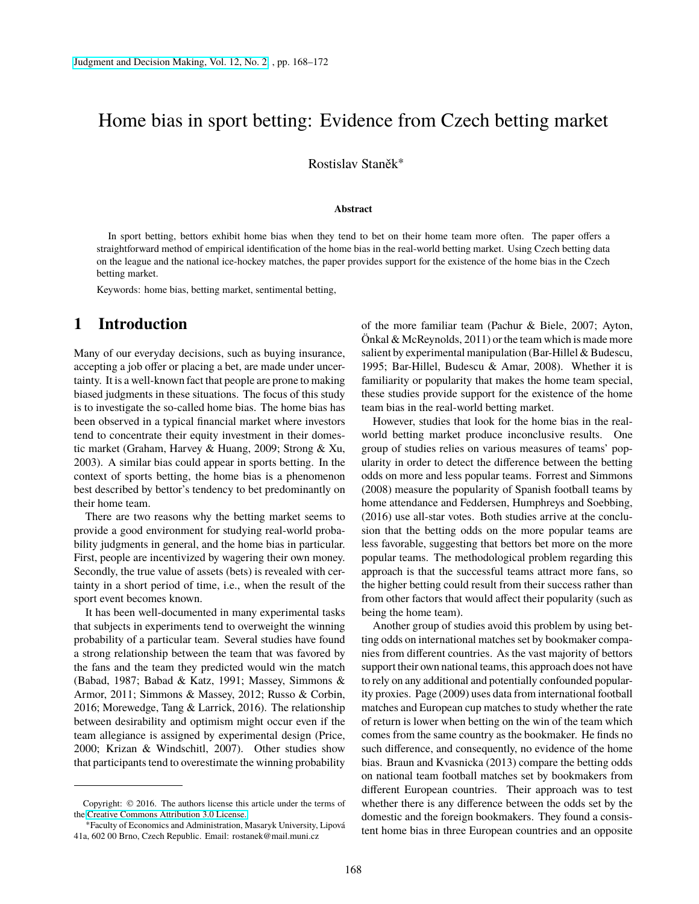# Home bias in sport betting: Evidence from Czech betting market

Rostislav Staněk<sup>∗</sup>

#### **Abstract**

In sport betting, bettors exhibit home bias when they tend to bet on their home team more often. The paper offers a straightforward method of empirical identification of the home bias in the real-world betting market. Using Czech betting data on the league and the national ice-hockey matches, the paper provides support for the existence of the home bias in the Czech betting market.

Keywords: home bias, betting market, sentimental betting,

### **1 Introduction**

Many of our everyday decisions, such as buying insurance, accepting a job offer or placing a bet, are made under uncertainty. It is a well-known fact that people are prone to making biased judgments in these situations. The focus of this study is to investigate the so-called home bias. The home bias has been observed in a typical financial market where investors tend to concentrate their equity investment in their domestic market (Graham, Harvey & Huang, 2009; Strong & Xu, 2003). A similar bias could appear in sports betting. In the context of sports betting, the home bias is a phenomenon best described by bettor's tendency to bet predominantly on their home team.

There are two reasons why the betting market seems to provide a good environment for studying real-world probability judgments in general, and the home bias in particular. First, people are incentivized by wagering their own money. Secondly, the true value of assets (bets) is revealed with certainty in a short period of time, i.e., when the result of the sport event becomes known.

It has been well-documented in many experimental tasks that subjects in experiments tend to overweight the winning probability of a particular team. Several studies have found a strong relationship between the team that was favored by the fans and the team they predicted would win the match (Babad, 1987; Babad & Katz, 1991; Massey, Simmons & Armor, 2011; Simmons & Massey, 2012; Russo & Corbin, 2016; Morewedge, Tang & Larrick, 2016). The relationship between desirability and optimism might occur even if the team allegiance is assigned by experimental design (Price, 2000; Krizan & Windschitl, 2007). Other studies show that participants tend to overestimate the winning probability

of the more familiar team (Pachur & Biele, 2007; Ayton, Önkal & McReynolds, 2011) or the team which is made more salient by experimental manipulation (Bar-Hillel & Budescu, 1995; Bar-Hillel, Budescu & Amar, 2008). Whether it is familiarity or popularity that makes the home team special, these studies provide support for the existence of the home team bias in the real-world betting market.

However, studies that look for the home bias in the realworld betting market produce inconclusive results. One group of studies relies on various measures of teams' popularity in order to detect the difference between the betting odds on more and less popular teams. Forrest and Simmons (2008) measure the popularity of Spanish football teams by home attendance and Feddersen, Humphreys and Soebbing, (2016) use all-star votes. Both studies arrive at the conclusion that the betting odds on the more popular teams are less favorable, suggesting that bettors bet more on the more popular teams. The methodological problem regarding this approach is that the successful teams attract more fans, so the higher betting could result from their success rather than from other factors that would affect their popularity (such as being the home team).

Another group of studies avoid this problem by using betting odds on international matches set by bookmaker companies from different countries. As the vast majority of bettors support their own national teams, this approach does not have to rely on any additional and potentially confounded popularity proxies. Page (2009) uses data from international football matches and European cup matches to study whether the rate of return is lower when betting on the win of the team which comes from the same country as the bookmaker. He finds no such difference, and consequently, no evidence of the home bias. Braun and Kvasnicka (2013) compare the betting odds on national team football matches set by bookmakers from different European countries. Their approach was to test whether there is any difference between the odds set by the domestic and the foreign bookmakers. They found a consistent home bias in three European countries and an opposite

Copyright: © 2016. The authors license this article under the terms of the [Creative Commons Attribution 3.0 License.](http://creativecommons.org/licenses/by/3.0/)

<sup>∗</sup>Faculty of Economics and Administration, Masaryk University, Lipová 41a, 602 00 Brno, Czech Republic. Email: rostanek@mail.muni.cz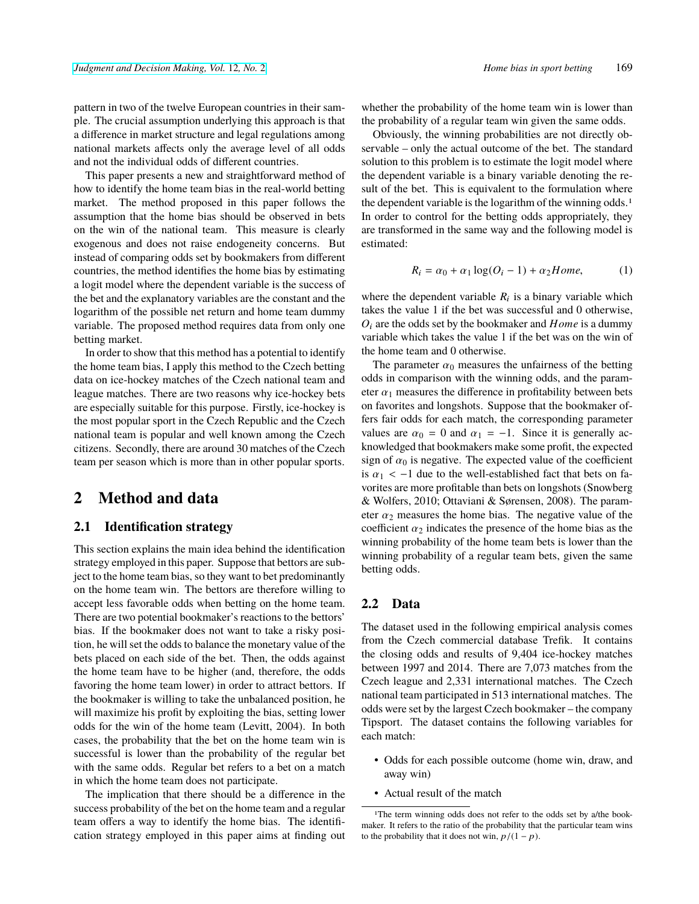pattern in two of the twelve European countries in their sample. The crucial assumption underlying this approach is that a difference in market structure and legal regulations among national markets affects only the average level of all odds and not the individual odds of different countries.

This paper presents a new and straightforward method of how to identify the home team bias in the real-world betting market. The method proposed in this paper follows the assumption that the home bias should be observed in bets on the win of the national team. This measure is clearly exogenous and does not raise endogeneity concerns. But instead of comparing odds set by bookmakers from different countries, the method identifies the home bias by estimating a logit model where the dependent variable is the success of the bet and the explanatory variables are the constant and the logarithm of the possible net return and home team dummy variable. The proposed method requires data from only one betting market.

In order to show that this method has a potential to identify the home team bias, I apply this method to the Czech betting data on ice-hockey matches of the Czech national team and league matches. There are two reasons why ice-hockey bets are especially suitable for this purpose. Firstly, ice-hockey is the most popular sport in the Czech Republic and the Czech national team is popular and well known among the Czech citizens. Secondly, there are around 30 matches of the Czech team per season which is more than in other popular sports.

# **2 Method and data**

#### **2.1 Identification strategy**

This section explains the main idea behind the identification strategy employed in this paper. Suppose that bettors are subject to the home team bias, so they want to bet predominantly on the home team win. The bettors are therefore willing to accept less favorable odds when betting on the home team. There are two potential bookmaker's reactions to the bettors' bias. If the bookmaker does not want to take a risky position, he will set the odds to balance the monetary value of the bets placed on each side of the bet. Then, the odds against the home team have to be higher (and, therefore, the odds favoring the home team lower) in order to attract bettors. If the bookmaker is willing to take the unbalanced position, he will maximize his profit by exploiting the bias, setting lower odds for the win of the home team (Levitt, 2004). In both cases, the probability that the bet on the home team win is successful is lower than the probability of the regular bet with the same odds. Regular bet refers to a bet on a match in which the home team does not participate.

The implication that there should be a difference in the success probability of the bet on the home team and a regular team offers a way to identify the home bias. The identification strategy employed in this paper aims at finding out whether the probability of the home team win is lower than the probability of a regular team win given the same odds.

Obviously, the winning probabilities are not directly observable – only the actual outcome of the bet. The standard solution to this problem is to estimate the logit model where the dependent variable is a binary variable denoting the result of the bet. This is equivalent to the formulation where the dependent variable is the logarithm of the winning odds.<sup>1</sup> In order to control for the betting odds appropriately, they are transformed in the same way and the following model is estimated:

<span id="page-1-0"></span>
$$
R_i = \alpha_0 + \alpha_1 \log(O_i - 1) + \alpha_2 \text{Home}, \tag{1}
$$

where the dependent variable  $R_i$  is a binary variable which takes the value 1 if the bet was successful and 0 otherwise, *O*<sup>i</sup> are the odds set by the bookmaker and *Home* is a dummy variable which takes the value 1 if the bet was on the win of the home team and 0 otherwise.

The parameter  $\alpha_0$  measures the unfairness of the betting odds in comparison with the winning odds, and the parameter  $\alpha_1$  measures the difference in profitability between bets on favorites and longshots. Suppose that the bookmaker offers fair odds for each match, the corresponding parameter values are  $\alpha_0 = 0$  and  $\alpha_1 = -1$ . Since it is generally acknowledged that bookmakers make some profit, the expected sign of  $\alpha_0$  is negative. The expected value of the coefficient is  $\alpha_1$  < -1 due to the well-established fact that bets on favorites are more profitable than bets on longshots (Snowberg & Wolfers, 2010; Ottaviani & Sørensen, 2008). The parameter  $\alpha_2$  measures the home bias. The negative value of the coefficient  $\alpha_2$  indicates the presence of the home bias as the winning probability of the home team bets is lower than the winning probability of a regular team bets, given the same betting odds.

#### **2.2 Data**

The dataset used in the following empirical analysis comes from the Czech commercial database Trefik. It contains the closing odds and results of 9,404 ice-hockey matches between 1997 and 2014. There are 7,073 matches from the Czech league and 2,331 international matches. The Czech national team participated in 513 international matches. The odds were set by the largest Czech bookmaker – the company Tipsport. The dataset contains the following variables for each match:

- Odds for each possible outcome (home win, draw, and away win)
- Actual result of the match

<sup>&</sup>lt;sup>1</sup>The term winning odds does not refer to the odds set by a/the bookmaker. It refers to the ratio of the probability that the particular team wins to the probability that it does not win,  $p/(1-p)$ .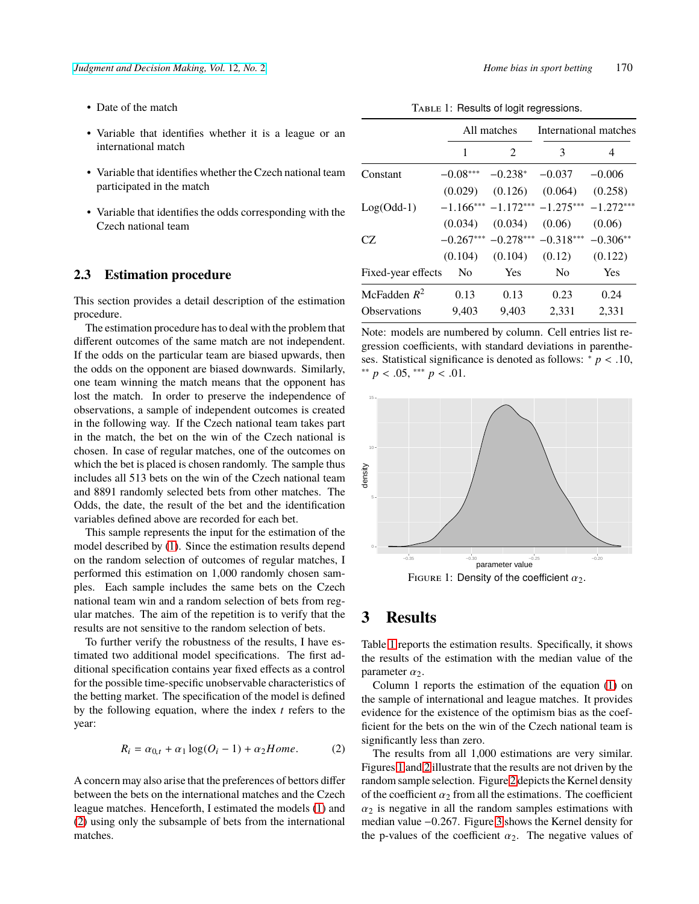- Date of the match
- Variable that identifies whether it is a league or an international match
- Variable that identifies whether the Czech national team participated in the match
- Variable that identifies the odds corresponding with the Czech national team

#### **2.3 Estimation procedure**

This section provides a detail description of the estimation procedure.

The estimation procedure has to deal with the problem that different outcomes of the same match are not independent. If the odds on the particular team are biased upwards, then the odds on the opponent are biased downwards. Similarly, one team winning the match means that the opponent has lost the match. In order to preserve the independence of observations, a sample of independent outcomes is created in the following way. If the Czech national team takes part in the match, the bet on the win of the Czech national is chosen. In case of regular matches, one of the outcomes on which the bet is placed is chosen randomly. The sample thus includes all 513 bets on the win of the Czech national team and 8891 randomly selected bets from other matches. The Odds, the date, the result of the bet and the identification variables defined above are recorded for each bet.

This sample represents the input for the estimation of the model described by [\(1\)](#page-1-0). Since the estimation results depend on the random selection of outcomes of regular matches, I performed this estimation on 1,000 randomly chosen samples. Each sample includes the same bets on the Czech national team win and a random selection of bets from regular matches. The aim of the repetition is to verify that the results are not sensitive to the random selection of bets.

To further verify the robustness of the results, I have estimated two additional model specifications. The first additional specification contains year fixed effects as a control for the possible time-specific unobservable characteristics of the betting market. The specification of the model is defined by the following equation, where the index *t* refers to the year:

<span id="page-2-0"></span>
$$
R_i = \alpha_{0,t} + \alpha_1 \log(O_i - 1) + \alpha_2 \text{Home}.
$$
 (2)

A concern may also arise that the preferences of bettors differ between the bets on the international matches and the Czech league matches. Henceforth, I estimated the models [\(1\)](#page-1-0) and [\(2\)](#page-2-0) using only the subsample of bets from the international matches.

TABLE 1: Results of logit regressions.

<span id="page-2-1"></span>

|                     | All matches    |                             | International matches           |             |
|---------------------|----------------|-----------------------------|---------------------------------|-------------|
|                     | 1              | $\mathcal{D}_{\mathcal{L}}$ | 3                               | 4           |
| Constant            | $-0.08***$     | $-0.238*$                   | $-0.037$                        | $-0.006$    |
|                     | (0.029)        | (0.126)                     | (0.064)                         | (0.258)     |
| $Log(Odd-1)$        |                |                             | $-1.166*** -1.172*** -1.275***$ | $-1.272***$ |
|                     | (0.034)        | (0.034)                     | (0.06)                          | (0.06)      |
| CZ                  |                | $-0.267***$ $-0.278***$     | $-0.318***$                     | $-0.306**$  |
|                     | (0.104)        | (0.104)                     | (0.12)                          | (0.122)     |
| Fixed-year effects  | N <sub>0</sub> | Yes                         | N <sub>0</sub>                  | Yes         |
| McFadden $R^2$      | 0.13           | 0.13                        | 0.23                            | 0.24        |
| <b>Observations</b> | 9,403          | 9,403                       | 2,331                           | 2,331       |

Note: models are numbered by column. Cell entries list regression coefficients, with standard deviations in parentheses. Statistical significance is denoted as follows: <sup>∗</sup> *p* < .10, ∗∗ *p* < .05, ∗∗∗ *p* < .01.

<span id="page-2-2"></span>

FIGURE 1: Density of the coefficient  $\alpha_2$ .

### **3 Results**

Table [1](#page-2-1) reports the estimation results. Specifically, it shows the results of the estimation with the median value of the parameter  $\alpha_2$ .

Column 1 reports the estimation of the equation [\(1\)](#page-1-0) on the sample of international and league matches. It provides evidence for the existence of the optimism bias as the coefficient for the bets on the win of the Czech national team is significantly less than zero.

The results from all 1,000 estimations are very similar. Figures [1](#page-2-2) and [2](#page-3-0) illustrate that the results are not driven by the random sample selection. Figure [2](#page-3-0) depicts the Kernel density of the coefficient  $\alpha_2$  from all the estimations. The coefficient  $\alpha_2$  is negative in all the random samples estimations with median value −0.267. Figure [3](#page-3-1) shows the Kernel density for the p-values of the coefficient  $\alpha_2$ . The negative values of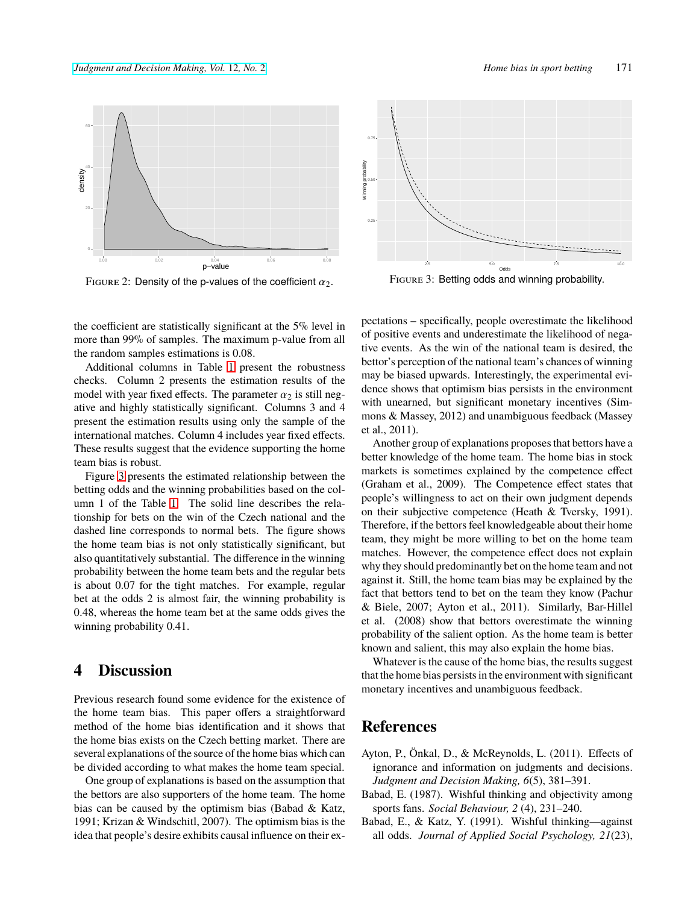<span id="page-3-0"></span>

FIGURE 2: Density of the p-values of the coefficient  $\alpha_2$ .

<span id="page-3-1"></span>

Figure 3: Betting odds and winning probability.

the coefficient are statistically significant at the 5% level in more than 99% of samples. The maximum p-value from all the random samples estimations is 0.08.

Additional columns in Table [1](#page-2-1) present the robustness checks. Column 2 presents the estimation results of the model with year fixed effects. The parameter  $\alpha_2$  is still negative and highly statistically significant. Columns 3 and 4 present the estimation results using only the sample of the international matches. Column 4 includes year fixed effects. These results suggest that the evidence supporting the home team bias is robust.

Figure [3](#page-3-1) presents the estimated relationship between the betting odds and the winning probabilities based on the column 1 of the Table [1.](#page-2-1) The solid line describes the relationship for bets on the win of the Czech national and the dashed line corresponds to normal bets. The figure shows the home team bias is not only statistically significant, but also quantitatively substantial. The difference in the winning probability between the home team bets and the regular bets is about 0.07 for the tight matches. For example, regular bet at the odds 2 is almost fair, the winning probability is 0.48, whereas the home team bet at the same odds gives the winning probability 0.41.

### **4 Discussion**

Previous research found some evidence for the existence of the home team bias. This paper offers a straightforward method of the home bias identification and it shows that the home bias exists on the Czech betting market. There are several explanations of the source of the home bias which can be divided according to what makes the home team special.

One group of explanations is based on the assumption that the bettors are also supporters of the home team. The home bias can be caused by the optimism bias (Babad & Katz, 1991; Krizan & Windschitl, 2007). The optimism bias is the idea that people's desire exhibits causal influence on their expectations – specifically, people overestimate the likelihood of positive events and underestimate the likelihood of negative events. As the win of the national team is desired, the bettor's perception of the national team's chances of winning may be biased upwards. Interestingly, the experimental evidence shows that optimism bias persists in the environment with unearned, but significant monetary incentives (Simmons & Massey, 2012) and unambiguous feedback (Massey et al., 2011).

Another group of explanations proposes that bettors have a better knowledge of the home team. The home bias in stock markets is sometimes explained by the competence effect (Graham et al., 2009). The Competence effect states that people's willingness to act on their own judgment depends on their subjective competence (Heath & Tversky, 1991). Therefore, if the bettors feel knowledgeable about their home team, they might be more willing to bet on the home team matches. However, the competence effect does not explain why they should predominantly bet on the home team and not against it. Still, the home team bias may be explained by the fact that bettors tend to bet on the team they know (Pachur & Biele, 2007; Ayton et al., 2011). Similarly, Bar-Hillel et al. (2008) show that bettors overestimate the winning probability of the salient option. As the home team is better known and salient, this may also explain the home bias.

Whatever is the cause of the home bias, the results suggest that the home bias persists in the environment with significant monetary incentives and unambiguous feedback.

# **References**

- Ayton, P., Önkal, D., & McReynolds, L. (2011). Effects of ignorance and information on judgments and decisions. *Judgment and Decision Making, 6*(5), 381–391.
- Babad, E. (1987). Wishful thinking and objectivity among sports fans. *Social Behaviour, 2* (4), 231–240.
- Babad, E., & Katz, Y. (1991). Wishful thinking—against all odds. *Journal of Applied Social Psychology, 21*(23),